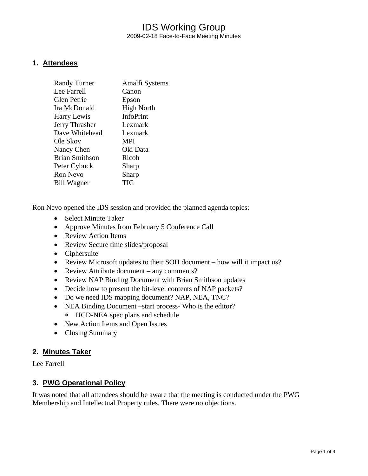### IDS Working Group 2009-02-18 Face-to-Face Meeting Minutes

### **1. Attendees**

| <b>Randy Turner</b>   | Amalfi Systems    |
|-----------------------|-------------------|
| Lee Farrell           | Canon             |
| Glen Petrie           | Epson             |
| Ira McDonald          | <b>High North</b> |
| Harry Lewis           | InfoPrint         |
| Jerry Thrasher        | Lexmark           |
| Dave Whitehead        | Lexmark           |
| Ole Skov              | <b>MPI</b>        |
| Nancy Chen            | Oki Data          |
| <b>Brian Smithson</b> | Ricoh             |
| Peter Cybuck          | Sharp             |
| Ron Nevo              | Sharp             |
| <b>Bill Wagner</b>    | TIC               |

Ron Nevo opened the IDS session and provided the planned agenda topics:

- Select Minute Taker
- Approve Minutes from February 5 Conference Call
- Review Action Items
- Review Secure time slides/proposal
- Ciphersuite
- Review Microsoft updates to their SOH document how will it impact us?
- Review Attribute document any comments?
- Review NAP Binding Document with Brian Smithson updates
- Decide how to present the bit-level contents of NAP packets?
- Do we need IDS mapping document? NAP, NEA, TNC?
- NEA Binding Document –start process- Who is the editor? ∗ HCD-NEA spec plans and schedule
- New Action Items and Open Issues
- Closing Summary

#### **2. Minutes Taker**

Lee Farrell

### **3. PWG Operational Policy**

It was noted that all attendees should be aware that the meeting is conducted under the PWG Membership and Intellectual Property rules. There were no objections.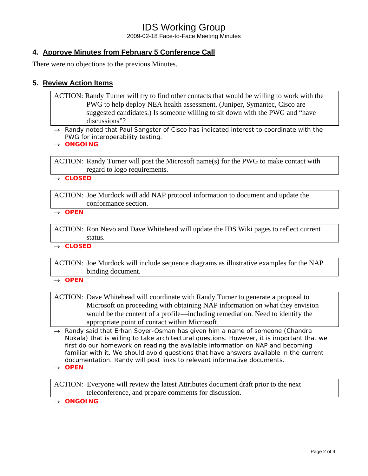2009-02-18 Face-to-Face Meeting Minutes

### **4. Approve Minutes from February 5 Conference Call**

There were no objections to the previous Minutes.

### **5. Review Action Items**

ACTION: Randy Turner will try to find other contacts that would be willing to work with the PWG to help deploy NEA health assessment. (Juniper, Symantec, Cisco are suggested candidates.) Is someone willing to sit down with the PWG and "have discussions"?

- → *Randy noted that Paul Sangster of Cisco has indicated interest to coordinate with the PWG for interoperability testing.*
- → *ONGOING*

ACTION: Randy Turner will post the Microsoft name(s) for the PWG to make contact with regard to logo requirements.

→ *CLOSED* 

ACTION: Joe Murdock will add NAP protocol information to document and update the conformance section.

→ *OPEN* 

ACTION: Ron Nevo and Dave Whitehead will update the IDS Wiki pages to reflect current status.

→ *CLOSED* 

ACTION: Joe Murdock will include sequence diagrams as illustrative examples for the NAP binding document.

→ *OPEN* 

ACTION: Dave Whitehead will coordinate with Randy Turner to generate a proposal to Microsoft on proceeding with obtaining NAP information on what they envision would be the content of a profile—including remediation. Need to identify the appropriate point of contact within Microsoft.

- → *Randy said that Erhan Soyer-Osman has given him a name of someone (Chandra Nukala) that is willing to take architectural questions. However, it is important that we*  first do our homework on reading the available information on NAP and becoming familiar with it. We should avoid questions that have answers available in the current *documentation. Randy will post links to relevant informative documents.*
- → *OPEN*

ACTION: Everyone will review the latest Attributes document draft prior to the next teleconference, and prepare comments for discussion.

→ *ONGOING*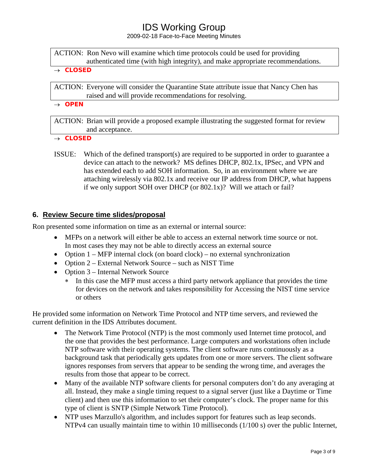2009-02-18 Face-to-Face Meeting Minutes

ACTION: Ron Nevo will examine which time protocols could be used for providing authenticated time (with high integrity), and make appropriate recommendations.

#### → *CLOSED*

ACTION: Everyone will consider the Quarantine State attribute issue that Nancy Chen has raised and will provide recommendations for resolving.

→ *OPEN*

ACTION: Brian will provide a proposed example illustrating the suggested format for review and acceptance.

- → *CLOSED*
- ISSUE: Which of the defined transport(s) are required to be supported in order to guarantee a device can attach to the network? MS defines DHCP, 802.1x, IPSec, and VPN and has extended each to add SOH information. So, in an environment where we are attaching wirelessly via 802.1x and receive our IP address from DHCP, what happens if we only support SOH over DHCP (or 802.1x)? Will we attach or fail?

### **6. Review Secure time slides/proposal**

Ron presented some information on time as an external or internal source:

- MFPs on a network will either be able to access an external network time source or not. In most cases they may not be able to directly access an external source
- Option  $1 MFP$  internal clock (on board clock) no external synchronization
- Option 2 External Network Source such as NIST Time
- Option 3 Internal Network Source
	- ∗ In this case the MFP must access a third party network appliance that provides the time for devices on the network and takes responsibility for Accessing the NIST time service or others

He provided some information on Network Time Protocol and NTP time servers, and reviewed the current definition in the IDS Attributes document.

- The Network Time Protocol (NTP) is the most commonly used Internet time protocol, and the one that provides the best performance. Large computers and workstations often include NTP software with their operating systems. The client software runs continuously as a background task that periodically gets updates from one or more servers. The client software ignores responses from servers that appear to be sending the wrong time, and averages the results from those that appear to be correct.
- Many of the available NTP software clients for personal computers don't do any averaging at all. Instead, they make a single timing request to a signal server (just like a Daytime or Time client) and then use this information to set their computer's clock. The proper name for this type of client is SNTP (Simple Network Time Protocol).
- NTP uses [Marzullo's algorithm,](http://en.wikipedia.org/wiki/Marzullo) and includes support for features such as [leap seconds.](http://en.wikipedia.org/wiki/Leap_second) NTPv4 can usually maintain time to within 10 milliseconds (1/100 s) over the public [Internet,](http://en.wikipedia.org/wiki/Internet)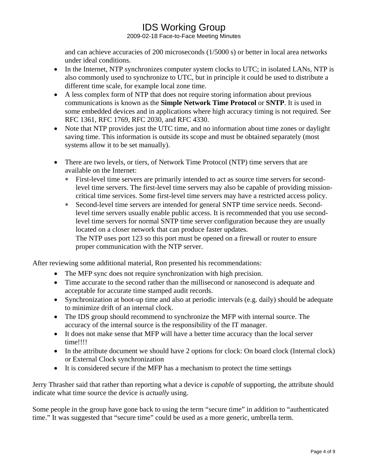2009-02-18 Face-to-Face Meeting Minutes

and can achieve accuracies of 200 microseconds (1/5000 s) or better in local area networks under ideal conditions.

- In the Internet, NTP synchronizes computer system clocks to [UTC;](http://en.wikipedia.org/wiki/Coordinated_Universal_Time) in isolated LANs, NTP is also commonly used to synchronize to UTC, but in principle it could be used to distribute a different time scale, for example local zone time.
- A less complex form of NTP that does not require storing information about previous communications is known as the **Simple Network Time Protocol** or **SNTP**. It is used in some embedded devices and in applications where high accuracy timing is not required. See [RFC 1361,](http://tools.ietf.org/html/rfc1361) [RFC 1769](http://tools.ietf.org/html/rfc1769), [RFC 2030,](http://tools.ietf.org/html/rfc2030) and [RFC 4330](http://tools.ietf.org/html/rfc4330).
- Note that NTP provides just the UTC time, and no information about [time zones](http://en.wikipedia.org/wiki/Time_zone) or daylight [saving time.](http://en.wikipedia.org/wiki/Daylight_saving_time) This information is outside its scope and must be obtained separately (most systems allow it to be set manually).
- There are two levels, or tiers, of Network Time Protocol (NTP) time servers that are available on the Internet:
	- ∗ First-level time servers are primarily intended to act as source time servers for secondlevel time servers. The first-level time servers may also be capable of providing missioncritical time services. Some first-level time servers may have a restricted access policy.
	- ∗ Second-level time servers are intended for general SNTP time service needs. Secondlevel time servers usually enable public access. It is recommended that you use secondlevel time servers for normal SNTP time server configuration because they are usually located on a closer network that can produce faster updates. The NTP uses port 123 so this port must be opened on a firewall or router to ensure proper communication with the NTP server.

After reviewing some additional material, Ron presented his recommendations:

- The MFP sync does not require synchronization with high precision.
- Time accurate to the second rather than the millisecond or nanosecond is adequate and acceptable for accurate time stamped audit records.
- Synchronization at boot-up time and also at periodic intervals (e.g. daily) should be adequate to minimize drift of an internal clock.
- The IDS group should recommend to synchronize the MFP with internal source. The accuracy of the internal source is the responsibility of the IT manager.
- It does not make sense that MFP will have a better time accuracy than the local server time!!!!
- In the attribute document we should have 2 options for clock: On board clock (Internal clock) or External Clock synchronization
- It is considered secure if the MFP has a mechanism to protect the time settings

Jerry Thrasher said that rather than reporting what a device is *capable* of supporting, the attribute should indicate what time source the device is *actually* using.

Some people in the group have gone back to using the term "secure time" in addition to "authenticated time." It was suggested that "secure time" could be used as a more generic, umbrella term.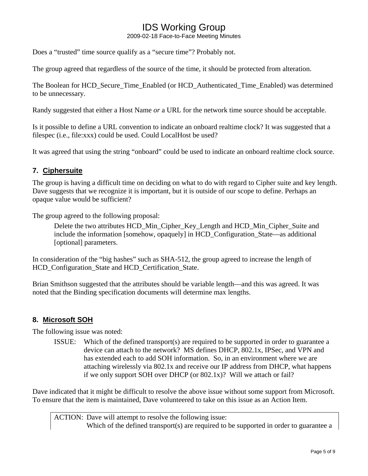2009-02-18 Face-to-Face Meeting Minutes

Does a "trusted" time source qualify as a "secure time"? Probably not.

The group agreed that regardless of the source of the time, it should be protected from alteration.

The Boolean for HCD\_Secure\_Time\_Enabled (or HCD\_Authenticated\_Time\_Enabled) was determined to be unnecessary.

Randy suggested that either a Host Name *or* a URL for the network time source should be acceptable.

Is it possible to define a URL convention to indicate an onboard realtime clock? It was suggested that a filespec (i.e., file:xxx) could be used. Could LocalHost be used?

It was agreed that using the string "onboard" could be used to indicate an onboard realtime clock source.

### **7. Ciphersuite**

The group is having a difficult time on deciding on what to do with regard to Cipher suite and key length. Dave suggests that we recognize it is important, but it is outside of our scope to define. Perhaps an opaque value would be sufficient?

The group agreed to the following proposal:

Delete the two attributes HCD\_Min\_Cipher\_Key\_Length and HCD\_Min\_Cipher\_Suite and include the information [somehow, opaquely] in HCD\_Configuration\_State—as additional [optional] parameters.

In consideration of the "big hashes" such as SHA-512, the group agreed to increase the length of HCD\_Configuration\_State and HCD\_Certification\_State.

Brian Smithson suggested that the attributes should be variable length—and this was agreed. It was noted that the Binding specification documents will determine max lengths.

### **8. Microsoft SOH**

The following issue was noted:

ISSUE: Which of the defined transport(s) are required to be supported in order to guarantee a device can attach to the network? MS defines DHCP, 802.1x, IPSec, and VPN and has extended each to add SOH information. So, in an environment where we are attaching wirelessly via 802.1x and receive our IP address from DHCP, what happens if we only support SOH over DHCP (or 802.1x)? Will we attach or fail?

Dave indicated that it might be difficult to resolve the above issue without some support from Microsoft. To ensure that the item is maintained, Dave volunteered to take on this issue as an Action Item.

ACTION: Dave will attempt to resolve the following issue: Which of the defined transport(s) are required to be supported in order to guarantee a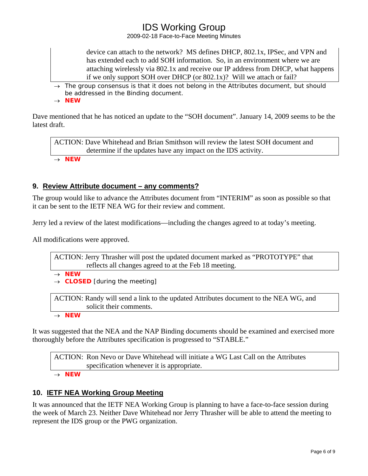2009-02-18 Face-to-Face Meeting Minutes

device can attach to the network? MS defines DHCP, 802.1x, IPSec, and VPN and has extended each to add SOH information. So, in an environment where we are attaching wirelessly via 802.1x and receive our IP address from DHCP, what happens if we only support SOH over DHCP (or 802.1x)? Will we attach or fail?

→ *The group consensus is that it does not belong in the Attributes document, but should be addressed in the Binding document.*  → *NEW* 

Dave mentioned that he has noticed an update to the "SOH document". January 14, 2009 seems to be the latest draft.

ACTION: Dave Whitehead and Brian Smithson will review the latest SOH document and determine if the updates have any impact on the IDS activity.

→ *NEW* 

### **9. Review Attribute document – any comments?**

The group would like to advance the Attributes document from "INTERIM" as soon as possible so that it can be sent to the IETF NEA WG for their review and comment.

Jerry led a review of the latest modifications—including the changes agreed to at today's meeting.

All modifications were approved.

ACTION: Jerry Thrasher will post the updated document marked as "PROTOTYPE" that reflects all changes agreed to at the Feb 18 meeting. → *NEW* 

→ *CLOSED [during the meeting]*

ACTION: Randy will send a link to the updated Attributes document to the NEA WG, and solicit their comments.

→ *NEW* 

It was suggested that the NEA and the NAP Binding documents should be examined and exercised more thoroughly before the Attributes specification is progressed to "STABLE."

ACTION: Ron Nevo or Dave Whitehead will initiate a WG Last Call on the Attributes specification whenever it is appropriate. → *NEW* 

### **10. IETF NEA Working Group Meeting**

It was announced that the IETF NEA Working Group is planning to have a face-to-face session during the week of March 23. Neither Dave Whitehead nor Jerry Thrasher will be able to attend the meeting to represent the IDS group or the PWG organization.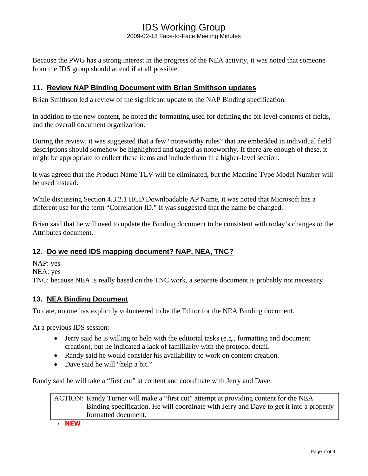2009-02-18 Face-to-Face Meeting Minutes

Because the PWG has a strong interest in the progress of the NEA activity, it was noted that someone from the IDS group should attend if at all possible.

### **11. Review NAP Binding Document with Brian Smithson updates**

Brian Smithson led a review of the significant update to the NAP Binding specification.

In addition to the new content, he noted the formatting used for defining the bit-level contents of fields, and the overall document organization.

During the review, it was suggested that a few "noteworthy rules" that are embedded in individual field descriptions should somehow be highlighted and tagged as noteworthy. If there are enough of these, it might be appropriate to collect these items and include them in a higher-level section.

It was agreed that the Product Name TLV will be eliminated, but the Machine Type Model Number will be used instead.

While discussing Section 4.3.2.1 HCD Downloadable AP Name, it was noted that Microsoft has a different use for the term "Correlation ID." It was suggested that the name be changed.

Brian said that he will need to update the Binding document to be consistent with today's changes to the Attributes document.

### **12. Do we need IDS mapping document? NAP, NEA, TNC?**

NAP: yes NEA: yes TNC: because NEA is really based on the TNC work, a separate document is probably not necessary.

### **13. NEA Binding Document**

To date, no one has explicitly volunteered to be the Editor for the NEA Binding document.

At a previous IDS session:

- Jerry said he is willing to help with the editorial tasks (e.g., formatting and document creation), but he indicated a lack of familiarity with the protocol detail.
- Randy said he would consider his availability to work on content creation.
- Dave said he will "help a bit."

Randy said he will take a "first cut" at content and coordinate with Jerry and Dave.

ACTION: Randy Turner will make a "first cut" attempt at providing content for the NEA Binding specification. He will coordinate with Jerry and Dave to get it into a properly formatted document.

→ *NEW*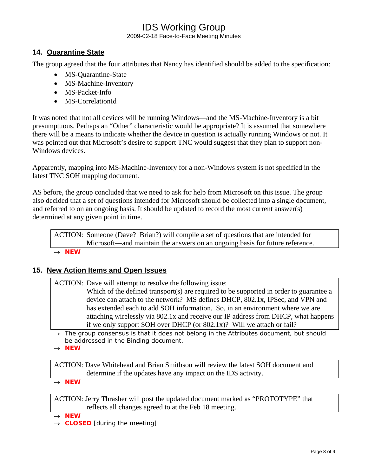2009-02-18 Face-to-Face Meeting Minutes

### **14. Quarantine State**

The group agreed that the four attributes that Nancy has identified should be added to the specification:

- MS-Quarantine-State
- MS-Machine-Inventory
- MS-Packet-Info
- MS-CorrelationId

It was noted that not all devices will be running Windows—and the MS-Machine-Inventory is a bit presumptuous. Perhaps an "Other" characteristic would be appropriate? It is assumed that somewhere there will be a means to indicate whether the device in question is actually running Windows or not. It was pointed out that Microsoft's desire to support TNC would suggest that they plan to support non-Windows devices.

Apparently, mapping into MS-Machine-Inventory for a non-Windows system is not specified in the latest TNC SOH mapping document.

AS before, the group concluded that we need to ask for help from Microsoft on this issue. The group also decided that a set of questions intended for Microsoft should be collected into a single document, and referred to on an ongoing basis. It should be updated to record the most current answer(s) determined at any given point in time.

ACTION: Someone (Dave? Brian?) will compile a set of questions that are intended for Microsoft—and maintain the answers on an ongoing basis for future reference.

→ *NEW* 

### **15. New Action Items and Open Issues**

ACTION: Dave will attempt to resolve the following issue:

Which of the defined transport(s) are required to be supported in order to guarantee a device can attach to the network? MS defines DHCP, 802.1x, IPSec, and VPN and has extended each to add SOH information. So, in an environment where we are attaching wirelessly via 802.1x and receive our IP address from DHCP, what happens if we only support SOH over DHCP (or 802.1x)? Will we attach or fail?

→ *The group consensus is that it does not belong in the Attributes document, but should be addressed in the Binding document.* 

→ *NEW* 

ACTION: Dave Whitehead and Brian Smithson will review the latest SOH document and determine if the updates have any impact on the IDS activity.

→ *NEW* 

ACTION: Jerry Thrasher will post the updated document marked as "PROTOTYPE" that reflects all changes agreed to at the Feb 18 meeting.

→ *NEW* 

→ *CLOSED [during the meeting]*